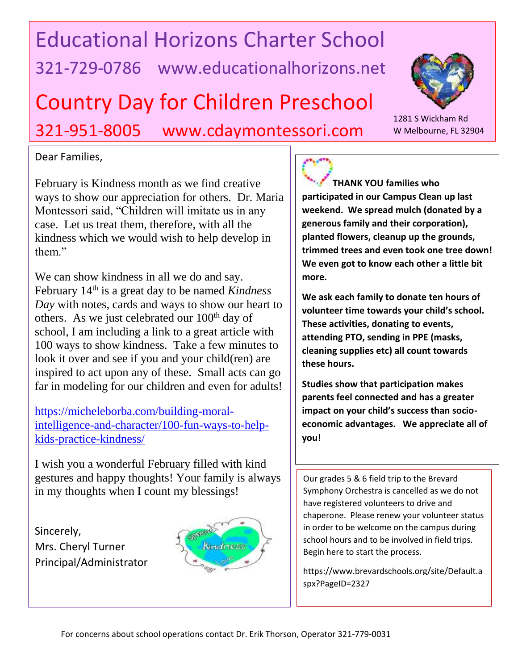## Educational Horizons Charter School 321-729-0786 www.educationalhorizons.net

## Country Day for Children Preschool

321-951-8005 www.cdaymontessori.com

## Dear Families,

Montessori said, "Children will imitate us in any February is Kindness month as we find creative ways to show our appreciation for others. Dr. Maria case. Let us treat them, therefore, with all the kindness which we would wish to help develop in them."

We can show kindness in all we do and say. February 14<sup>th</sup> is a great day to be named *Kindness Day* with notes, cards and ways to show our heart to others. As we just celebrated our  $100<sup>th</sup>$  day of school, I am including a link to a great article with 100 ways to show kindness. Take a few minutes to look it over and see if you and your child(ren) are inspired to act upon any of these. Small acts can go far in modeling for our children and even for adults!

[https://micheleborba.com/building-moral](https://micheleborba.com/building-moral-intelligence-and-character/100-fun-ways-to-help-kids-practice-kindness/)[intelligence-and-character/100-fun-ways-to-help](https://micheleborba.com/building-moral-intelligence-and-character/100-fun-ways-to-help-kids-practice-kindness/)[kids-practice-kindness/](https://micheleborba.com/building-moral-intelligence-and-character/100-fun-ways-to-help-kids-practice-kindness/)

I wish you a wonderful February filled with kind gestures and happy thoughts! Your family is always in my thoughts when I count my blessings!

Sincerely, Mrs. Cheryl Turner Principal/Administrator



**THANK YOU families who participated in our Campus Clean up last weekend. We spread mulch (donated by a generous family and their corporation), planted flowers, cleanup up the grounds, trimmed trees and even took one tree down! We even got to know each other a little bit more.** 

**We ask each family to donate ten hours of volunteer time towards your child's school. These activities, donating to events, attending PTO, sending in PPE (masks, cleaning supplies etc) all count towards these hours.** 

**Studies show that participation makes parents feel connected and has a greater impact on your child's success than socioeconomic advantages. We appreciate all of you!**

Our grades 5 & 6 field trip to the Brevard Symphony Orchestra is cancelled as we do not have registered volunteers to drive and chaperone. Please renew your volunteer status in order to be welcome on the campus during school hours and to be involved in field trips. Begin here to start the process.

https://www.brevardschools.org/site/Default.a spx?PageID=2327



1281 S Wickham Rd W Melbourne, FL 32904